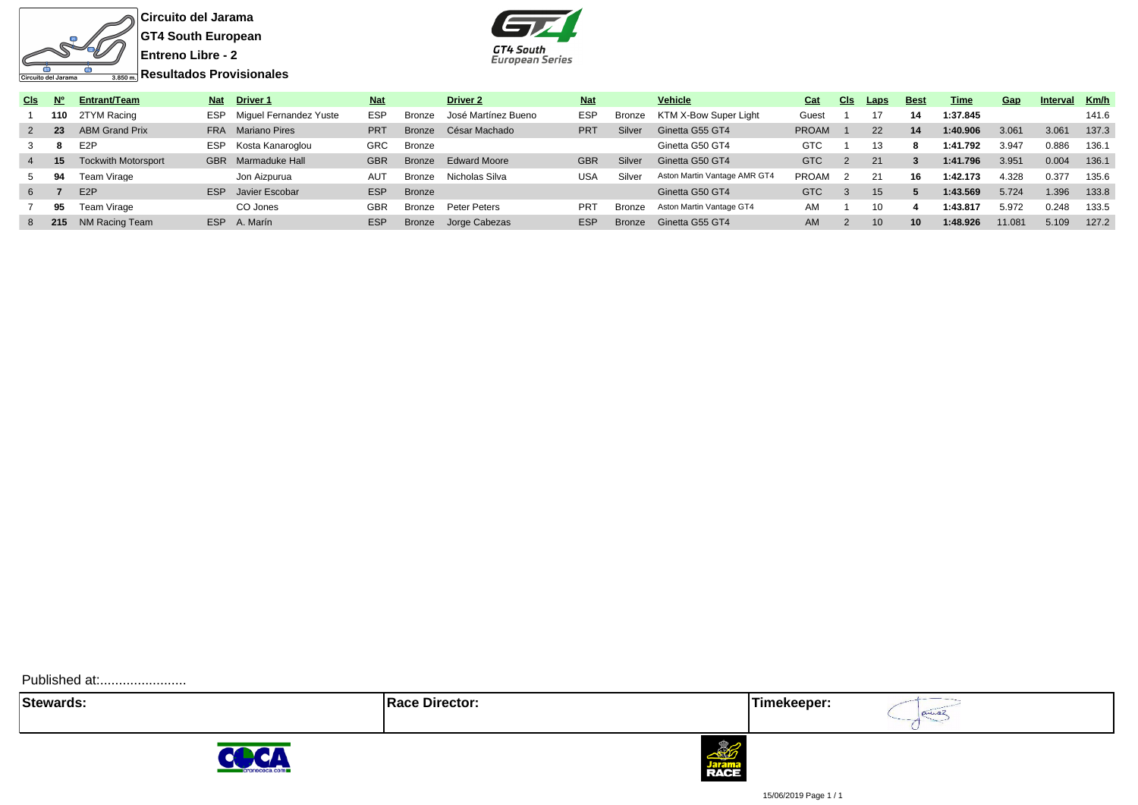

**Circuito del Jarama GT4 South European Entreno Libre - 2**

**Resultados Provisionales**



GT4 South **European Series** 

Published at:.........................





annaz



15/06/2019 Page 1 / 1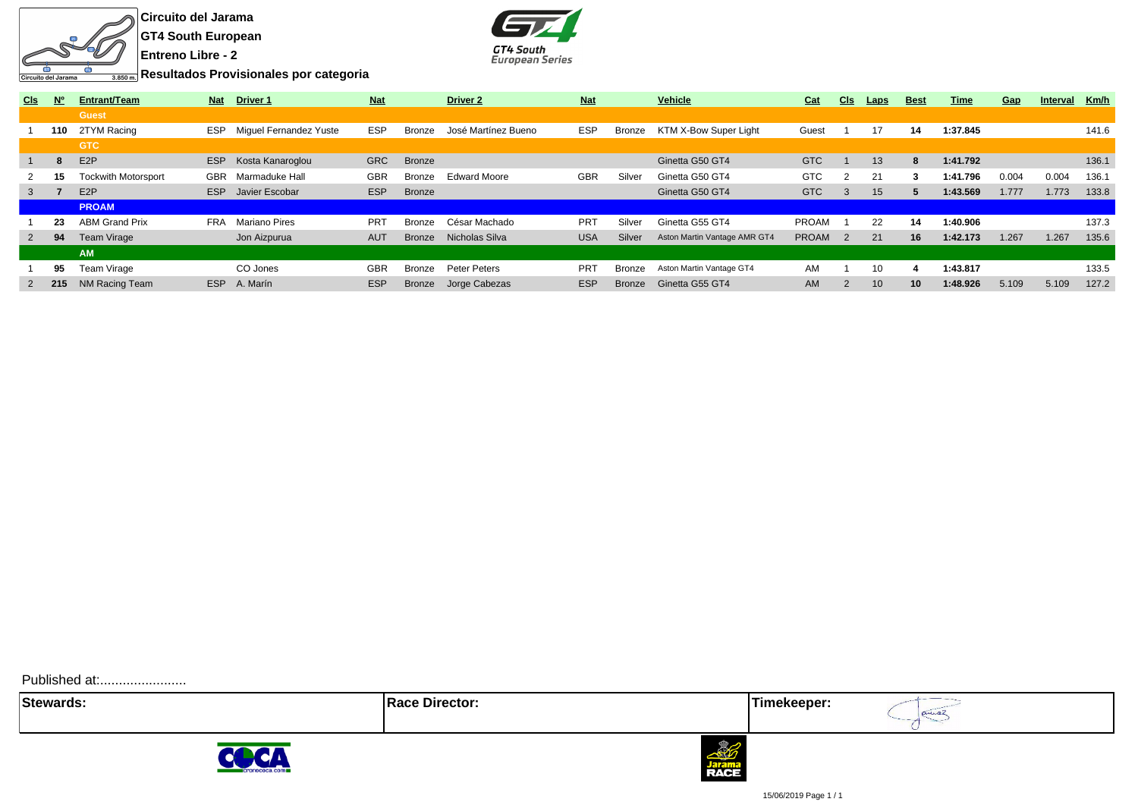

**Circuito del Jarama GT4 South European Entreno Libre - 2**



**Resultados Provisionales por categoria**

| C <sub>ls</sub> | <b>N°</b> | Entrant/Team               | <b>Nat</b> | <b>Driver 1</b>        | <b>Nat</b> |               | <b>Driver 2</b>     | <b>Nat</b>      |               | <b>Vehicle</b>               | Cat          | <b>CIs</b>     | Laps            | <b>Best</b> | Time     | Gap   | Interval | Km/h  |
|-----------------|-----------|----------------------------|------------|------------------------|------------|---------------|---------------------|-----------------|---------------|------------------------------|--------------|----------------|-----------------|-------------|----------|-------|----------|-------|
|                 |           | <b>Guest</b>               |            |                        |            |               |                     |                 |               |                              |              |                |                 |             |          |       |          |       |
|                 | 110       | 2TYM Racing                | <b>ESP</b> | Miquel Fernandez Yuste | <b>ESP</b> | Bronze        | José Martínez Bueno | <b>ESP</b>      | Bronze        | KTM X-Bow Super Light        | Guest        |                | 17              | 14          | 1:37.845 |       |          | 141.6 |
|                 |           | <b>GTC</b>                 |            |                        |            |               |                     |                 |               |                              |              |                |                 |             |          |       |          |       |
|                 | -8        | E <sub>2</sub> P           | <b>ESP</b> | Kosta Kanaroglou       | <b>GRC</b> | <b>Bronze</b> |                     |                 |               | Ginetta G50 GT4              | <b>GTC</b>   |                | 13              | 8           | 1:41.792 |       |          | 136.1 |
| 2               | 15        | <b>Tockwith Motorsport</b> | <b>GBR</b> | Marmaduke Hall         | <b>GBR</b> | Bronze        | <b>Edward Moore</b> | <b>GBR</b>      | Silver        | Ginetta G50 GT4              | <b>GTC</b>   |                | 21              | 3           | 1:41.796 | 0.004 | 0.004    | 136.1 |
| 3               |           | E <sub>2</sub> P           | ESP        | Javier Escobar         | <b>ESP</b> | <b>Bronze</b> |                     |                 |               | Ginetta G50 GT4              | <b>GTC</b>   | 3              | 15              | 5           | 1:43.569 | 1.777 | 1.773    | 133.8 |
|                 |           | <b>PROAM</b>               |            |                        |            |               |                     |                 |               |                              |              |                |                 |             |          |       |          |       |
|                 | 23        | <b>ABM Grand Prix</b>      | <b>FRA</b> | Mariano Pires          | <b>PRT</b> | Bronze        | César Machado       | <b>PRT</b>      | Silver        | Ginetta G55 GT4              | <b>PROAM</b> |                | 22              | 14          | 1:40.906 |       |          | 137.3 |
| 2               | 94        | Team Virage                |            | Jon Aizpurua           | <b>AUT</b> | <b>Bronze</b> | Nicholas Silva      | <b>USA</b>      | Silver        | Aston Martin Vantage AMR GT4 | <b>PROAM</b> | $\overline{2}$ | 21              | 16          | 1:42.173 | 1.267 | 1.267    | 135.6 |
|                 |           | <b>AM</b>                  |            |                        |            |               |                     |                 |               |                              |              |                |                 |             |          |       |          |       |
|                 | 95        | Team Virage                |            | CO Jones               | <b>GBR</b> | Bronze        | Peter Peters        | PR <sub>1</sub> | Bronze        | Aston Martin Vantage GT4     | AM           |                | 10              | 4           | 1:43.817 |       |          | 133.5 |
|                 | 2 215     | NM Racing Team             | <b>ESP</b> | A. Marín               | <b>ESP</b> | <b>Bronze</b> | Jorge Cabezas       | <b>ESP</b>      | <b>Bronze</b> | Ginetta G55 GT4              | <b>AM</b>    |                | 10 <sup>°</sup> | 10          | 1:48.926 | 5.109 | 5.109    | 127.2 |
|                 |           |                            |            |                        |            |               |                     |                 |               |                              |              |                |                 |             |          |       |          |       |

Published at:........................

**Stewards: Race Director: Timekeeper:**

aniaz





15/06/2019 Page 1 / 1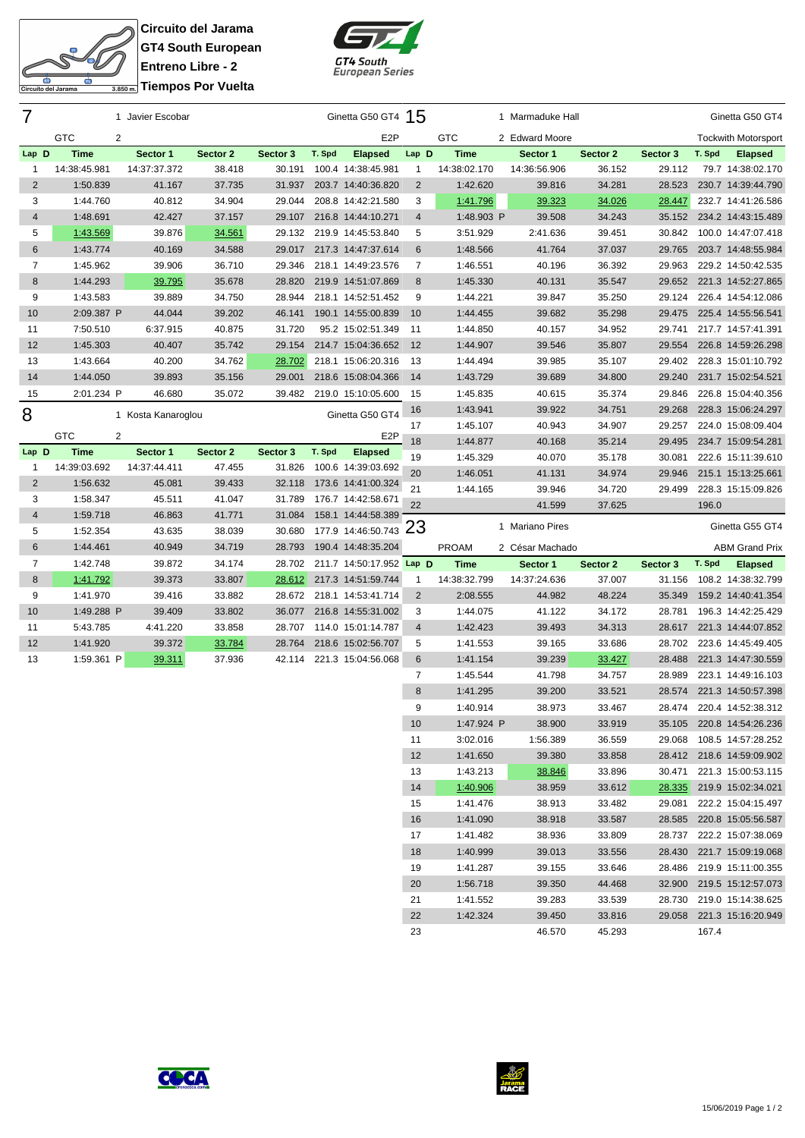

**Circuito del Jarama GT4 South European Entreno Libre - 2 Tiempos Por Vuelta**



| 7              |                              | 1 Javier Escobar   |          |          |        | Ginetta G50 GT4 15       |                |                      | 1 Marmaduke Hall |                  |          |        | Ginetta G50 GT4                                        |
|----------------|------------------------------|--------------------|----------|----------|--------|--------------------------|----------------|----------------------|------------------|------------------|----------|--------|--------------------------------------------------------|
|                | <b>GTC</b><br>$\overline{2}$ |                    |          |          |        | E <sub>2</sub> P         |                | <b>GTC</b>           | 2 Edward Moore   |                  |          |        | <b>Tockwith Motorsport</b>                             |
| Lap D          | <b>Time</b>                  | Sector 1           | Sector 2 | Sector 3 | T. Spd | <b>Elapsed</b>           | Lap D          | <b>Time</b>          | Sector 1         | Sector 2         | Sector 3 | T. Spd | <b>Elapsed</b>                                         |
| 1              | 14:38:45.981                 | 14:37:37.372       | 38.418   | 30.191   |        | 100.4 14:38:45.981       | $\mathbf{1}$   | 14:38:02.170         | 14:36:56.906     | 36.152           | 29.112   |        | 79.7 14:38:02.170                                      |
| $\overline{c}$ | 1:50.839                     | 41.167             | 37.735   | 31.937   |        | 203.7 14:40:36.820       | 2              | 1:42.620             | 39.816           | 34.281           | 28.523   |        | 230.7 14:39:44.790                                     |
| 3              | 1:44.760                     | 40.812             | 34.904   | 29.044   |        | 208.8 14:42:21.580       | 3              | 1:41.796             | 39.323           | 34.026           | 28.447   |        | 232.7 14:41:26.586                                     |
| 4              | 1:48.691                     | 42.427             | 37.157   | 29.107   |        | 216.8 14:44:10.271       | $\overline{4}$ | 1:48.903 P           | 39.508           | 34.243           | 35.152   |        | 234.2 14:43:15.489                                     |
| 5              | 1:43.569                     | 39.876             | 34.561   | 29.132   |        | 219.9 14:45:53.840       | 5              | 3:51.929             | 2:41.636         | 39.451           | 30.842   |        | 100.0 14:47:07.418                                     |
| 6              | 1:43.774                     | 40.169             | 34.588   | 29.017   |        | 217.3 14:47:37.614       | 6              | 1:48.566             | 41.764           | 37.037           | 29.765   |        | 203.7 14:48:55.984                                     |
| 7              | 1:45.962                     | 39.906             | 36.710   | 29.346   |        | 218.1 14:49:23.576       | 7              | 1:46.551             | 40.196           | 36.392           | 29.963   |        | 229.2 14:50:42.535                                     |
| 8              | 1:44.293                     | 39.795             | 35.678   | 28.820   |        | 219.9 14:51:07.869       | 8              | 1:45.330             | 40.131           | 35.547           | 29.652   |        | 221.3 14:52:27.865                                     |
| 9              | 1:43.583                     | 39.889             | 34.750   | 28.944   |        | 218.1 14:52:51.452       | 9              | 1:44.221             | 39.847           | 35.250           | 29.124   |        | 226.4 14:54:12.086                                     |
| 10             | 2:09.387 P                   | 44.044             | 39.202   | 46.141   |        | 190.1 14:55:00.839       | 10             | 1:44.455             | 39.682           | 35.298           | 29.475   |        | 225.4 14:55:56.541                                     |
| 11             | 7:50.510                     | 6:37.915           | 40.875   | 31.720   |        | 95.2 15:02:51.349        | 11             | 1:44.850             | 40.157           | 34.952           | 29.741   |        | 217.7 14:57:41.391                                     |
| 12             | 1:45.303                     | 40.407             | 35.742   | 29.154   |        | 214.7 15:04:36.652       | 12             | 1:44.907             | 39.546           | 35.807           | 29.554   |        | 226.8 14:59:26.298                                     |
| 13             | 1:43.664                     | 40.200             | 34.762   | 28.702   |        | 218.1 15:06:20.316       | -13            | 1:44.494             | 39.985           | 35.107           | 29.402   |        | 228.3 15:01:10.792                                     |
| 14             | 1:44.050                     | 39.893             | 35.156   | 29.001   |        | 218.6 15:08:04.366       | 14             | 1:43.729             | 39.689           | 34.800           | 29.240   |        | 231.7 15:02:54.521                                     |
| 15             | 2:01.234 P                   | 46.680             | 35.072   | 39.482   |        | 219.0 15:10:05.600       | 15             | 1:45.835             | 40.615           | 35.374           | 29.846   |        | 226.8 15:04:40.356                                     |
|                |                              |                    |          |          |        | Ginetta G50 GT4          | 16             | 1:43.941             | 39.922           | 34.751           | 29.268   |        | 228.3 15:06:24.297                                     |
| 8              |                              | 1 Kosta Kanaroglou |          |          |        |                          | 17             | 1:45.107             | 40.943           | 34.907           | 29.257   |        | 224.0 15:08:09.404                                     |
|                | <b>GTC</b><br>2              |                    |          |          |        | E <sub>2</sub> P         | 18             | 1:44.877             | 40.168           | 35.214           | 29.495   |        | 234.7 15:09:54.281                                     |
| Lap D          | <b>Time</b>                  | Sector 1           | Sector 2 | Sector 3 | T. Spd | <b>Elapsed</b>           | 19             | 1:45.329             | 40.070           | 35.178           | 30.081   |        | 222.6 15:11:39.610                                     |
| 1              | 14:39:03.692                 | 14:37:44.411       | 47.455   | 31.826   |        | 100.6 14:39:03.692       | 20             | 1:46.051             | 41.131           | 34.974           | 29.946   |        | 215.1 15:13:25.661                                     |
| $\overline{2}$ | 1:56.632                     | 45.081             | 39.433   | 32.118   |        | 173.6 14:41:00.324       | 21             | 1:44.165             | 39.946           | 34.720           | 29.499   |        | 228.3 15:15:09.826                                     |
| 3              | 1:58.347                     | 45.511             | 41.047   | 31.789   |        | 176.7 14:42:58.671       | 22             |                      | 41.599           | 37.625           |          | 196.0  |                                                        |
| 4              | 1:59.718                     | 46.863             | 41.771   | 31.084   |        | 158.1 14:44:58.389       |                |                      |                  |                  |          |        |                                                        |
| 5              | 1:52.354                     | 43.635             | 38.039   | 30.680   |        | 177.9 14:46:50.743 23    |                |                      | 1 Mariano Pires  |                  |          |        | Ginetta G55 GT4                                        |
| 6              | 1:44.461                     | 40.949             | 34.719   | 28.793   |        | 190.4 14:48:35.204       |                | <b>PROAM</b>         | 2 César Machado  |                  |          |        | <b>ABM Grand Prix</b>                                  |
| $\overline{7}$ | 1:42.748                     | 39.872             | 34.174   | 28.702   |        | 211.7 14:50:17.952 Lap D |                | <b>Time</b>          | Sector 1         | Sector 2         | Sector 3 | T. Spd | <b>Elapsed</b>                                         |
| 8              | 1:41.792                     | 39.373             | 33.807   | 28.612   |        | 217.3 14:51:59.744       | -1             | 14:38:32.799         | 14:37:24.636     | 37.007           | 31.156   |        | 108.2 14:38:32.799                                     |
| 9              | 1:41.970                     | 39.416             | 33.882   | 28.672   |        | 218.1 14:53:41.714       | $\overline{2}$ | 2:08.555             | 44.982           | 48.224           | 35.349   |        | 159.2 14:40:41.354                                     |
| 10             | 1:49.288 P                   | 39.409             | 33.802   | 36.077   |        | 216.8 14:55:31.002       | 3              | 1:44.075             | 41.122           | 34.172           | 28.781   |        | 196.3 14:42:25.429                                     |
| 11             | 5:43.785                     | 4:41.220           | 33.858   | 28.707   |        | 114.0 15:01:14.787       | 4              | 1:42.423             | 39.493           | 34.313           | 28.617   |        | 221.3 14:44:07.852                                     |
| 12             | 1:41.920                     | 39.372             | 33.784   | 28.764   |        | 218.6 15:02:56.707       | 5              | 1:41.553             | 39.165           | 33.686           | 28.702   |        | 223.6 14:45:49.405                                     |
| 13             | 1:59.361 P                   | 39.311             | 37.936   | 42.114   |        | 221.3 15:04:56.068       | 6              | 1:41.154             | 39.239           | 33.427           | 28.488   |        | 221.3 14:47:30.559                                     |
|                |                              |                    |          |          |        |                          | 7              | 1:45.544             | 41.798           | 34.757           | 28.989   |        | 223.1 14:49:16.103                                     |
|                |                              |                    |          |          |        |                          | 8              | 1:41.295             | 39.200           | 33.521           | 28.574   |        | 221.3 14:50:57.398                                     |
|                |                              |                    |          |          |        |                          | 9              | 1:40.914             | 38.973           | 33.467           |          |        | 28.474 220.4 14:52:38.312                              |
|                |                              |                    |          |          |        |                          | 10             | 1:47.924 P           | 38.900           | 33.919           |          |        | 35.105 220.8 14:54:26.236                              |
|                |                              |                    |          |          |        |                          |                |                      |                  |                  |          |        | 29.068 108.5 14:57:28.252                              |
|                |                              |                    |          |          |        |                          | 11             | 3:02.016             | 1:56.389         | 36.559           |          |        |                                                        |
|                |                              |                    |          |          |        |                          | 12             | 1:41.650             | 39.380           | 33.858           |          |        | 28.412 218.6 14:59:09.902                              |
|                |                              |                    |          |          |        |                          | 13             | 1:43.213             | 38.846           | 33.896           |          |        | 30.471 221.3 15:00:53.115                              |
|                |                              |                    |          |          |        |                          | 14             | 1:40.906             | 38.959           | 33.612           |          |        | 28.335 219.9 15:02:34.021                              |
|                |                              |                    |          |          |        |                          | 15             | 1:41.476             | 38.913           | 33.482           | 29.081   |        | 222.2 15:04:15.497                                     |
|                |                              |                    |          |          |        |                          | 16             | 1:41.090             | 38.918           | 33.587           |          |        | 28.585 220.8 15:05:56.587                              |
|                |                              |                    |          |          |        |                          | 17             | 1:41.482             | 38.936           | 33.809           |          |        | 28.737 222.2 15:07:38.069                              |
|                |                              |                    |          |          |        |                          | 18             | 1:40.999             | 39.013           | 33.556           |          |        | 28.430 221.7 15:09:19.068                              |
|                |                              |                    |          |          |        |                          | 19             | 1:41.287             | 39.155           | 33.646           |          |        | 28.486 219.9 15:11:00.355                              |
|                |                              |                    |          |          |        |                          | 20<br>21       | 1:56.718<br>1:41.552 | 39.350<br>39.283 | 44.468<br>33.539 |          |        | 32.900 219.5 15:12:57.073<br>28.730 219.0 15:14:38.625 |





1:42.324 39.450 33.816 29.058 221.3 15:16:20.949

46.570 45.293 167.4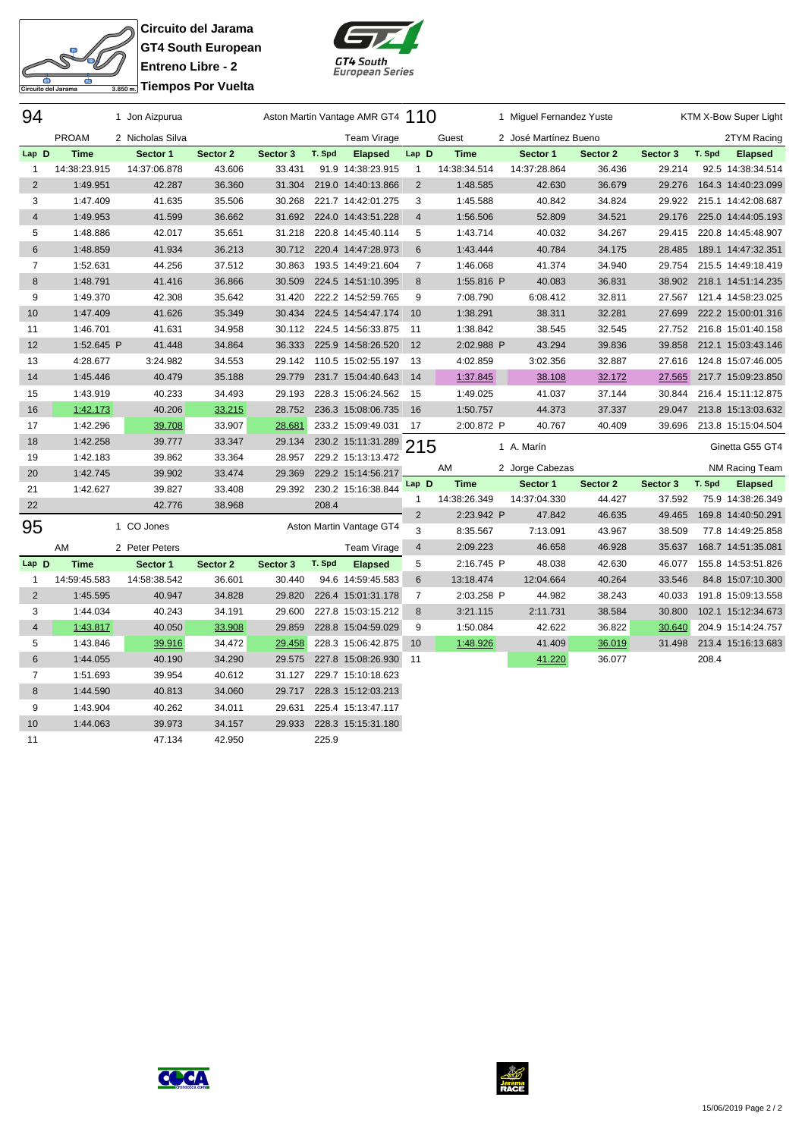

**Circuito del Jarama GT4 South European Entreno Libre - 2 Triempos Por Vuelta** 



| 94                      |              | 1 Jon Aizpurua   |          |          |        | Aston Martin Vantage AMR GT4 110 |                |              | 1 Miguel Fernandez Yuste |          |          |        | KTM X-Bow Super Light |
|-------------------------|--------------|------------------|----------|----------|--------|----------------------------------|----------------|--------------|--------------------------|----------|----------|--------|-----------------------|
|                         | <b>PROAM</b> | 2 Nicholas Silva |          |          |        | Team Virage                      |                | Guest        | 2 José Martínez Bueno    |          |          |        | 2TYM Racing           |
| Lap D                   | <b>Time</b>  | Sector 1         | Sector 2 | Sector 3 | T. Spd | <b>Elapsed</b>                   | Lap D          | <b>Time</b>  | Sector 1                 | Sector 2 | Sector 3 | T. Spd | <b>Elapsed</b>        |
| $\mathbf{1}$            | 14:38:23.915 | 14:37:06.878     | 43.606   | 33.431   |        | 91.9 14:38:23.915                | $\mathbf{1}$   | 14:38:34.514 | 14:37:28.864             | 36.436   | 29.214   |        | 92.5 14:38:34.514     |
| $\overline{2}$          | 1:49.951     | 42.287           | 36.360   | 31.304   |        | 219.0 14:40:13.866               | $\overline{2}$ | 1:48.585     | 42.630                   | 36.679   | 29.276   |        | 164.3 14:40:23.099    |
| 3                       | 1:47.409     | 41.635           | 35.506   | 30.268   |        | 221.7 14:42:01.275               | 3              | 1:45.588     | 40.842                   | 34.824   | 29.922   |        | 215.1 14:42:08.687    |
| $\overline{4}$          | 1:49.953     | 41.599           | 36.662   | 31.692   |        | 224.0 14:43:51.228               | $\overline{4}$ | 1:56.506     | 52.809                   | 34.521   | 29.176   |        | 225.0 14:44:05.193    |
| 5                       | 1:48.886     | 42.017           | 35.651   | 31.218   |        | 220.8 14:45:40.114               | 5              | 1:43.714     | 40.032                   | 34.267   | 29.415   |        | 220.8 14:45:48.907    |
| $\,6$                   | 1:48.859     | 41.934           | 36.213   | 30.712   |        | 220.4 14:47:28.973               | 6              | 1:43.444     | 40.784                   | 34.175   | 28.485   |        | 189.1 14:47:32.351    |
| $\overline{7}$          | 1:52.631     | 44.256           | 37.512   | 30.863   |        | 193.5 14:49:21.604               | 7              | 1:46.068     | 41.374                   | 34.940   | 29.754   |        | 215.5 14:49:18.419    |
| 8                       | 1:48.791     | 41.416           | 36.866   | 30.509   |        | 224.5 14:51:10.395               | 8              | 1:55.816 P   | 40.083                   | 36.831   | 38.902   |        | 218.1 14:51:14.235    |
| 9                       | 1:49.370     | 42.308           | 35.642   | 31.420   |        | 222.2 14:52:59.765               | 9              | 7:08.790     | 6:08.412                 | 32.811   | 27.567   |        | 121.4 14:58:23.025    |
| 10                      | 1:47.409     | 41.626           | 35.349   | 30.434   |        | 224.5 14:54:47.174               | 10             | 1:38.291     | 38.311                   | 32.281   | 27.699   |        | 222.2 15:00:01.316    |
| 11                      | 1:46.701     | 41.631           | 34.958   | 30.112   |        | 224.5 14:56:33.875               | 11             | 1:38.842     | 38.545                   | 32.545   | 27.752   |        | 216.8 15:01:40.158    |
| 12                      | 1:52.645 P   | 41.448           | 34.864   | 36.333   |        | 225.9 14:58:26.520               | 12             | 2:02.988 P   | 43.294                   | 39.836   | 39.858   |        | 212.1 15:03:43.146    |
| 13                      | 4:28.677     | 3:24.982         | 34.553   | 29.142   |        | 110.5 15:02:55.197               | 13             | 4:02.859     | 3:02.356                 | 32.887   | 27.616   |        | 124.8 15:07:46.005    |
| 14                      | 1:45.446     | 40.479           | 35.188   | 29.779   |        | 231.7 15:04:40.643               | 14             | 1:37.845     | 38.108                   | 32.172   | 27.565   |        | 217.7 15:09:23.850    |
| 15                      | 1:43.919     | 40.233           | 34.493   | 29.193   |        | 228.3 15:06:24.562               | - 15           | 1:49.025     | 41.037                   | 37.144   | 30.844   |        | 216.4 15:11:12.875    |
| 16                      | 1:42.173     | 40.206           | 33.215   | 28.752   |        | 236.3 15:08:06.735               | 16             | 1:50.757     | 44.373                   | 37.337   | 29.047   |        | 213.8 15:13:03.632    |
| 17                      | 1:42.296     | 39.708           | 33.907   | 28.681   |        | 233.2 15:09:49.031               | 17             | 2:00.872 P   | 40.767                   | 40.409   | 39.696   |        | 213.8 15:15:04.504    |
| 18                      | 1:42.258     | 39.777           | 33.347   | 29.134   |        | 230.2 15:11:31.289 215           |                |              | 1 A. Marín               |          |          |        | Ginetta G55 GT4       |
| 19                      | 1:42.183     | 39.862           | 33.364   | 28.957   |        | 229.2 15:13:13.472               |                |              |                          |          |          |        |                       |
| 20                      | 1:42.745     | 39.902           | 33.474   | 29.369   |        | 229.2 15:14:56.217               |                | AM           | 2 Jorge Cabezas          |          |          |        | NM Racing Team        |
| 21                      | 1:42.627     | 39.827           | 33.408   | 29.392   |        | 230.2 15:16:38.844               | Lap D          | <b>Time</b>  | Sector 1                 | Sector 2 | Sector 3 | T. Spd | <b>Elapsed</b>        |
| 22                      |              | 42.776           | 38.968   |          | 208.4  |                                  | 1              | 14:38:26.349 | 14:37:04.330             | 44.427   | 37.592   |        | 75.9 14:38:26.349     |
| 95                      |              | 1 CO Jones       |          |          |        | Aston Martin Vantage GT4         | $\overline{2}$ | 2:23.942 P   | 47.842                   | 46.635   | 49.465   |        | 169.8 14:40:50.291    |
|                         |              |                  |          |          |        |                                  | 3              | 8:35.567     | 7:13.091                 | 43.967   | 38.509   |        | 77.8 14:49:25.858     |
|                         | AM           | 2 Peter Peters   |          |          |        | Team Virage                      | 4              | 2:09.223     | 46.658                   | 46.928   | 35.637   |        | 168.7 14:51:35.081    |
| Lap D                   | <b>Time</b>  | Sector 1         | Sector 2 | Sector 3 | T. Spd | <b>Elapsed</b>                   | 5              | 2:16.745 P   | 48.038                   | 42.630   | 46.077   |        | 155.8 14:53:51.826    |
| $\mathbf{1}$            | 14:59:45.583 | 14:58:38.542     | 36.601   | 30.440   |        | 94.6 14:59:45.583                | 6              | 13:18.474    | 12:04.664                | 40.264   | 33.546   |        | 84.8 15:07:10.300     |
| $\overline{\mathbf{c}}$ | 1:45.595     | 40.947           | 34.828   | 29.820   |        | 226.4 15:01:31.178               | $\overline{7}$ | 2:03.258 P   | 44.982                   | 38.243   | 40.033   |        | 191.8 15:09:13.558    |
| 3                       | 1:44.034     | 40.243           | 34.191   | 29.600   |        | 227.8 15:03:15.212               | 8              | 3:21.115     | 2:11.731                 | 38.584   | 30.800   |        | 102.1 15:12:34.673    |
| $\overline{4}$          | 1:43.817     | 40.050           | 33.908   | 29.859   |        | 228.8 15:04:59.029               | 9              | 1:50.084     | 42.622                   | 36.822   | 30.640   |        | 204.9 15:14:24.757    |
| 5                       | 1:43.846     | 39.916           | 34.472   | 29.458   |        | 228.3 15:06:42.875               | 10             | 1:48.926     | 41.409                   | 36.019   | 31.498   |        | 213.4 15:16:13.683    |
| 6                       | 1:44.055     | 40.190           | 34.290   | 29.575   |        | 227.8 15:08:26.930               | 11             |              | 41.220                   | 36.077   |          | 208.4  |                       |
| $\overline{7}$          | 1:51.693     | 39.954           | 40.612   | 31.127   |        | 229.7 15:10:18.623               |                |              |                          |          |          |        |                       |
| 8                       | 1:44.590     | 40.813           | 34.060   | 29.717   |        | 228.3 15:12:03.213               |                |              |                          |          |          |        |                       |
| 9                       | 1:43.904     | 40.262           | 34.011   | 29.631   |        | 225.4 15:13:47.117               |                |              |                          |          |          |        |                       |
| 10                      | 1:44.063     | 39.973           | 34.157   | 29.933   |        | 228.3 15:15:31.180               |                |              |                          |          |          |        |                       |
| 11                      |              | 47.134           | 42.950   |          | 225.9  |                                  |                |              |                          |          |          |        |                       |



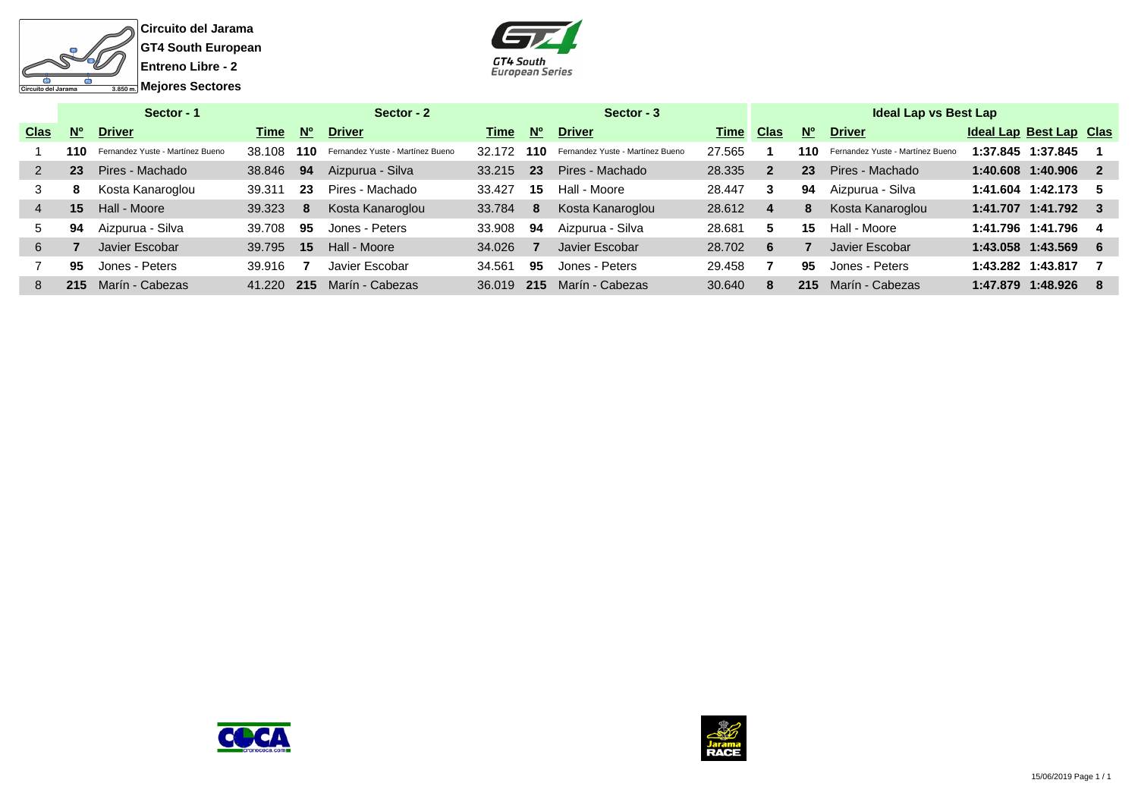



|             | Sector - 1  |                                  |        |             | Sector - 2                       |        |             | Sector - 3                       |        |                |           | <b>Ideal Lap vs Best Lap</b>     |                         |     |
|-------------|-------------|----------------------------------|--------|-------------|----------------------------------|--------|-------------|----------------------------------|--------|----------------|-----------|----------------------------------|-------------------------|-----|
| <b>Clas</b> | $N^{\circ}$ | <b>Driver</b>                    | Time   | $N^{\circ}$ | <b>Driver</b>                    | Time   | $N^{\circ}$ | <b>Driver</b>                    | Time   | Clas           | <b>No</b> | <b>Driver</b>                    | Ideal Lap Best Lap Clas |     |
|             | 110         | Fernandez Yuste - Martínez Bueno | 38.108 | 110         | Fernandez Yuste - Martínez Bueno | 32.172 | 110         | Fernandez Yuste - Martínez Bueno | 27.565 |                | 110       | Fernandez Yuste - Martínez Bueno | 1:37.845 1:37.845       |     |
|             | 23          | Pires - Machado                  | 38,846 | 94          | Aizpurua - Silva                 | 33.215 | <b>23</b>   | Pires - Machado                  | 28.335 | $\overline{2}$ | 23        | Pires - Machado                  | 1:40.608 1:40.906       | - 2 |
| 3           | 8           | Kosta Kanaroglou                 | 39.311 | 23          | Pires - Machado                  | 33.427 | 15          | Hall - Moore                     | 28.447 | 3              | 94        | Aizpurua - Silva                 | 1:41.604 1:42.173       | - 5 |
|             | 15          | Hall - Moore                     | 39.323 | 8           | Kosta Kanaroglou                 | 33.784 | 8           | Kosta Kanaroglou                 | 28.612 |                | 8         | Kosta Kanaroglou                 | 1:41.707 1:41.792       |     |
| 5           | 94          | Aizpurua - Silva                 | 39.708 | 95          | Jones - Peters                   | 33.908 | 94          | Aizpurua - Silva                 | 28.681 | 5              | 15        | Hall - Moore                     | 1:41.796 1:41.796       | -4  |
| 6           |             | Javier Escobar                   | 39.795 | 15          | Hall - Moore                     | 34.026 |             | Javier Escobar                   | 28.702 | 6              |           | Javier Escobar                   | 1:43.058 1:43.569       | - 6 |
|             | 95          | Jones - Peters                   | 39.916 |             | Javier Escobar                   | 34.561 | 95          | Jones - Peters                   | 29.458 |                | 95        | Jones - Peters                   | 1:43.282 1:43.817       |     |
| 8           | 215         | Marín - Cabezas                  | 41.220 | 215         | Marín - Cabezas                  | 36.019 | 215         | Marín - Cabezas                  | 30.640 | 8              | 215       | Marín - Cabezas                  | 1:47.879 1:48.926       |     |



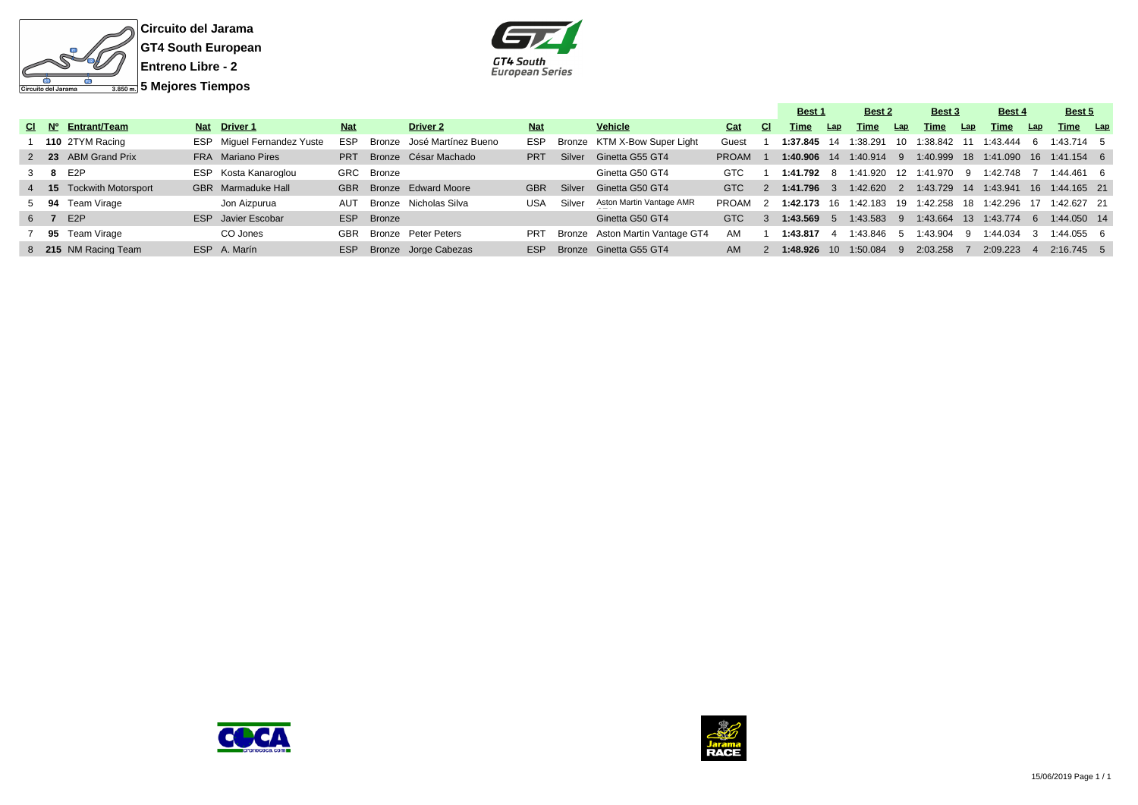



|  |                          |                                   |            |            |                            |            |        |                                 |              |               | Best 1       |     | Best 2                  |     | Best 3        |     | Best 4                                                    |      | Best 5        |  |
|--|--------------------------|-----------------------------------|------------|------------|----------------------------|------------|--------|---------------------------------|--------------|---------------|--------------|-----|-------------------------|-----|---------------|-----|-----------------------------------------------------------|------|---------------|--|
|  | CI Nº Entrant/Team       | Nat Driver 1                      | <b>Nat</b> |            | <b>Driver 2</b>            | <b>Nat</b> |        | Vehicle                         | Cat          | CI.           | Time         | Lap | Time                    | Lap | Time          | Lap | Time                                                      | Lap  | Time Lap      |  |
|  | 110 2TYM Racing          | <b>ESP</b> Miquel Fernandez Yuste | <b>ESP</b> |            | Bronze José Martínez Bueno | <b>ESP</b> |        | Bronze KTM X-Bow Super Light    | Guest        |               |              |     | 1:37.845 14 1:38.291    | 10  |               |     | 1:38.842  11  1:43.444                                    | - 6  | $1:43.714$ 5  |  |
|  | 2 23 ABM Grand Prix      | FRA Mariano Pires                 | <b>PRT</b> |            | Bronze César Machado       | <b>PRT</b> | Silver | Ginetta G55 GT4                 | <b>PROAM</b> |               |              |     |                         |     |               |     | 1:40.906 14 1:40.914 9 1:40.999 18 1:41.090 16 1:41.154 6 |      |               |  |
|  | 3 8 E2P                  | ESP Kosta Kanaroglou              |            | GRC Bronze |                            |            |        | Ginetta G50 GT4                 | GTC          |               | 1:41.792 8   |     | 1:41.920                |     | 12 1:41.970 9 |     | 1:42.748                                                  |      | $1:44.461$ 6  |  |
|  | 4 15 Tockwith Motorsport | GBR Marmaduke Hall                |            |            | GBR Bronze Edward Moore    | <b>GBR</b> | Silver | Ginetta G50 GT4                 | GTC.         | $\mathcal{P}$ | $1:41.796$ 3 |     | $1:42.620$ 2            |     |               |     | 1:43.729  14  1:43.941  16  1:44.165  21                  |      |               |  |
|  | 5 94 Team Virage         | Jon Aizpurua                      |            |            | AUT Bronze Nicholas Silva  | USA        | Silver | Aston Martin Vantage AMR        | PROAM        |               |              |     | 1:42.173 16 1:42.183 19 |     | 1:42.258      |     | 18 1:42.296                                               |      | 1:42.627 21   |  |
|  | 6 7 E2P                  | ESP Javier Escobar                |            | ESP Bronze |                            |            |        | Ginetta G50 GT4                 | <b>GTC</b>   | $\mathcal{A}$ | $1:43.569$ 5 |     | 1:43.583 9              |     |               |     | 1:43.664  13  1:43.774                                    | $-6$ | $1:44.050$ 14 |  |
|  | 7 95 Team Virage         | CO Jones                          | GBR        |            | Bronze Peter Peters        | <b>PRT</b> |        | Bronze Aston Martin Vantage GT4 | AM           |               | 1:43.817     |     | 1:43.846                | -5  | 1:43.904      | - 9 | 1:44.034                                                  |      | $1:44.055$ 6  |  |
|  | 8 215 NM Racing Team     | ESP A. Marín                      | ESP        |            | Bronze Jorge Cabezas       | ESP        |        | Bronze Ginetta G55 GT4          | AM.          |               |              |     | 1:48.926 10 1:50.084    | - 9 | 2:03.258      |     | 2:09.223                                                  |      | $2:16.745$ 5  |  |



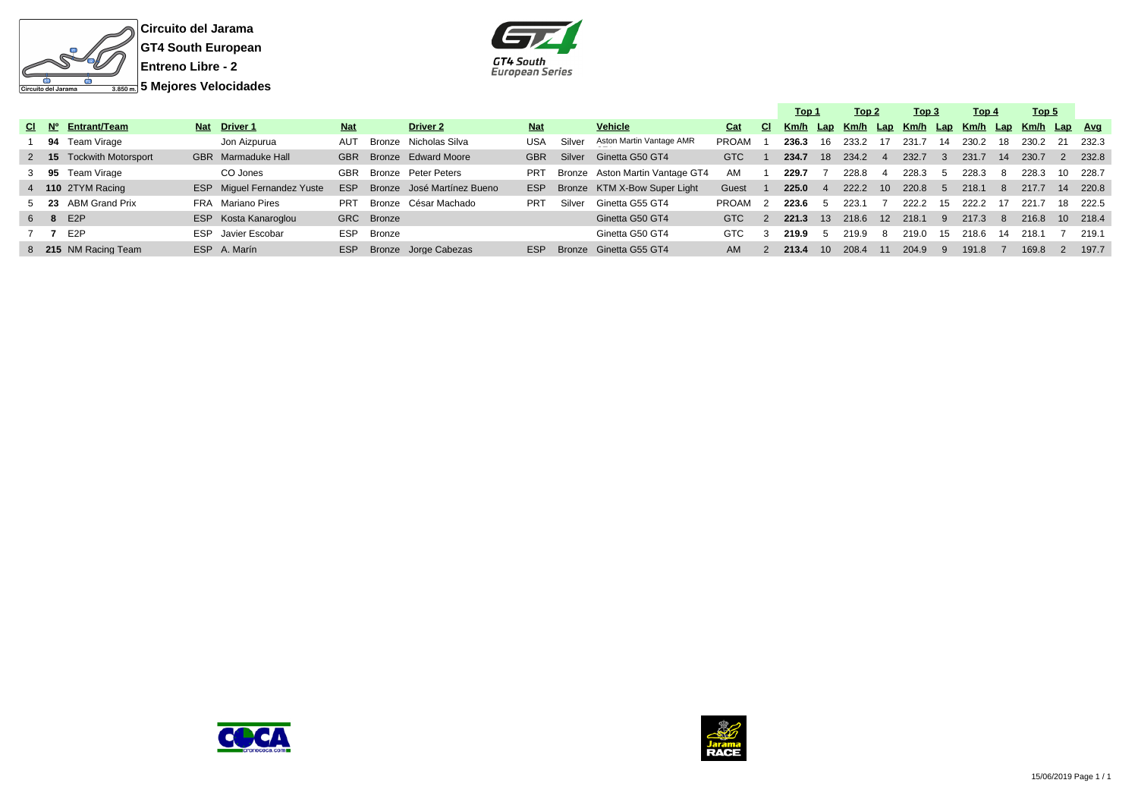



|         |                          |                                   |            |            |                            |            |        |                                 |       |               | Top 1 |                | Top 2 |                          | Тор 3                                            |                | <u>Top 4</u> |      | Top 5 |    |          |
|---------|--------------------------|-----------------------------------|------------|------------|----------------------------|------------|--------|---------------------------------|-------|---------------|-------|----------------|-------|--------------------------|--------------------------------------------------|----------------|--------------|------|-------|----|----------|
|         | CI Nº Entrant/Team       | Nat Driver 1                      | <b>Nat</b> |            | <b>Driver 2</b>            | <b>Nat</b> |        | <b>Vehicle</b>                  | Cat   | <b>CI</b>     |       |                |       |                          | Km/h Lap Km/h Lap Km/h Lap Km/h Lap Km/h Lap Avg |                |              |      |       |    |          |
|         | 94 Team Virage           | Jon Aizpurua                      | <b>AUT</b> |            | Bronze Nicholas Silva      | USA        | Silver | Aston Martin Vantage AMR        | PROAM |               | 236.3 | 16             | 233.2 | 17                       | 231.7                                            | 14             | 230.2        | 18   | 230.2 |    | 232.3    |
|         | 2 15 Tockwith Motorsport | GBR Marmaduke Hall                | <b>GBR</b> |            | Bronze Edward Moore        | <b>GBR</b> | Silver | Ginetta G50 GT4                 | GTC   |               | 234.7 | 18             | 234.2 | -4                       | 232.7                                            | -3             | 231.7        | 14   | 230.7 |    | 232.8    |
|         | 3 95 Team Virage         | CO Jones                          |            |            | GBR Bronze Peter Peters    | <b>PRT</b> |        | Bronze Aston Martin Vantage GT4 | AM    |               | 229.7 |                | 228.8 |                          | 228.3                                            | $\overline{b}$ | 228.3        | -8   | 228.3 | 10 | 228.7    |
|         | 4 110 2TYM Racing        | <b>ESP</b> Miguel Fernandez Yuste | <b>ESP</b> |            | Bronze José Martínez Bueno | <b>ESP</b> |        | Bronze KTM X-Bow Super Light    | Guest |               | 225.0 | $\overline{4}$ | 222.2 | 10                       | 220.8                                            | $\mathbf b$    | 218.1        | -8   | 217.7 | 14 | 220.8    |
|         | 5 23 ABM Grand Prix      | FRA Mariano Pires                 | PRT        |            | Bronze César Machado       | <b>PRT</b> | Silver | Ginetta G55 GT4                 | PROAM |               | 223.6 | - 5            | 223.1 | $\overline{\phantom{a}}$ | 222.2                                            | - 15           | 222.2        | - 17 | 221.7 |    | 18 222.5 |
| 6 8 E2P |                          | ESP Kosta Kanaroglou              |            | GRC Bronze |                            |            |        | Ginetta G50 GT4                 | GTC   | $\mathcal{P}$ | 221.3 | $-13$          | 218.6 | 12                       | 218.1                                            | -9             | 217.3        | -8   | 216.8 |    | 10 218.4 |
| 7 7     | E2P                      | ESP Javier Escobar                | ESP        | Bronze     |                            |            |        | Ginetta G50 GT4                 | GTC.  |               | 219.9 | -5             | 219.9 | -8                       | 219.0                                            | 15             | 218.6        | -14  | 218.1 |    | 219.1    |
|         | 8 215 NM Racing Team     | ESP A. Marín                      | <b>ESP</b> |            | Bronze Jorge Cabezas       | <b>ESP</b> |        | Bronze Ginetta G55 GT4          | AM.   |               | 213.4 | $10^{-}$       | 208.4 | 11                       | 204.9                                            | -9             | 191.8        |      | 169.8 |    | 197.7    |
|         |                          |                                   |            |            |                            |            |        |                                 |       |               |       |                |       |                          |                                                  |                |              |      |       |    |          |



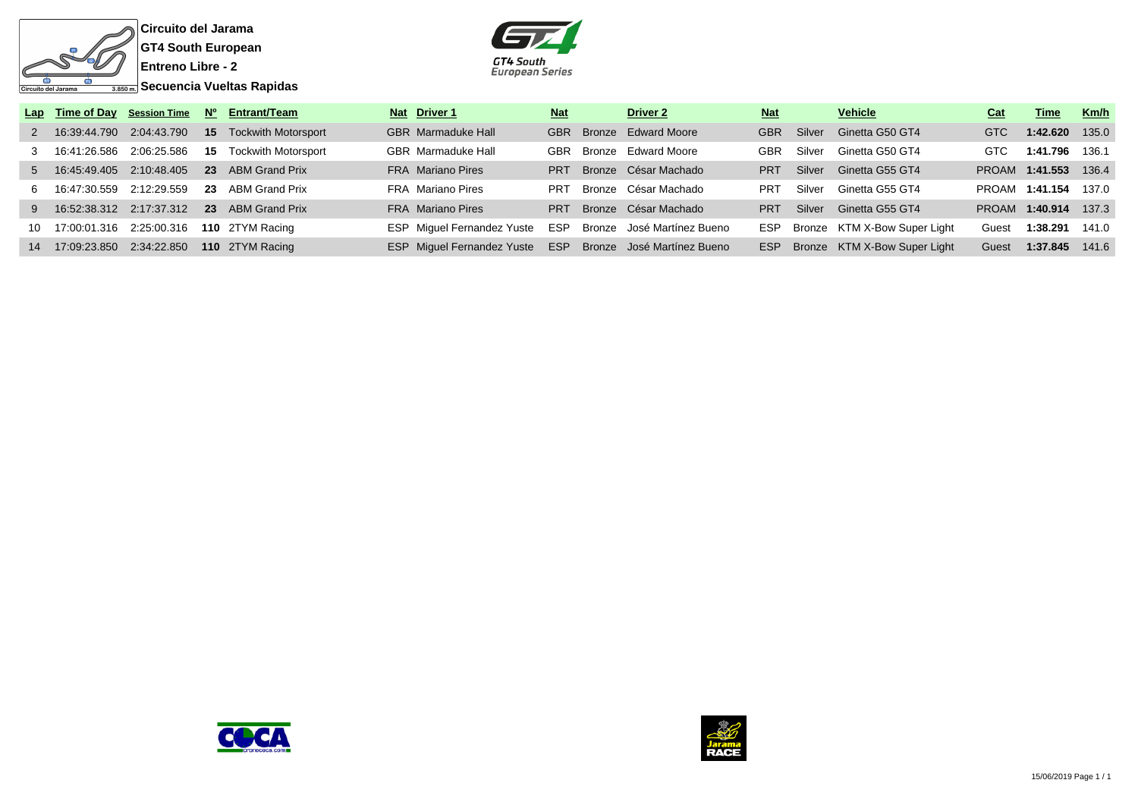

**Circuito del Jarama GT4 South European Entreno Libre - 2**

GT4 South<br>European Series

|                                  |  | Lap Time of Day Session Time Nº Entrant/Team      | Nat Driver 1                                              | <b>Nat</b> | Driver 2                 | <b>Nat</b> |        | Vehicle                          | Cat        | Time                 | Km/h  |
|----------------------------------|--|---------------------------------------------------|-----------------------------------------------------------|------------|--------------------------|------------|--------|----------------------------------|------------|----------------------|-------|
|                                  |  | 2 16:39:44.790 2:04:43.790 15 Tockwith Motorsport | <b>GBR</b> Marmaduke Hall                                 |            | GBR Bronze Edward Moore  | GBR        | Silver | Ginetta G50 GT4                  | <b>GTC</b> | 1:42.620 135.0       |       |
| 3  16:41:26.586  2:06:25.586  15 |  | <b>Tockwith Motorsport</b>                        | <b>GBR</b> Marmaduke Hall                                 |            | GBR Bronze Edward Moore  | <b>GBR</b> | Silver | Ginetta G50 GT4                  | <b>GTC</b> | 1:41.796 136.1       |       |
|                                  |  | 5 16:45:49.405 2:10:48.405 23 ABM Grand Prix      | <b>FRA</b> Mariano Pires                                  | <b>PRT</b> | Bronze César Machado     | <b>PRT</b> | Silver | Ginetta G55 GT4                  |            | PROAM 1:41.553 136.4 |       |
|                                  |  | 6 16:47:30.559 2:12:29.559 23 ABM Grand Prix      | FRA Mariano Pires                                         | <b>PRT</b> | Bronze César Machado     | <b>PRT</b> | Silver | Ginetta G55 GT4                  |            | PROAM 1:41.154 137.0 |       |
|                                  |  | 9 16:52:38.312 2:17:37.312 23 ABM Grand Prix      | <b>FRA</b> Mariano Pires                                  |            | PRT Bronze César Machado | <b>PRT</b> |        | Silver Ginetta G55 GT4           |            | PROAM 1:40.914 137.3 |       |
|                                  |  | 10 17:00:01.316 2:25:00.316 110 2TYM Racing       | ESP Miquel Fernandez Yuste ESP Bronze José Martínez Bueno |            |                          |            |        | ESP Bronze KTM X-Bow Super Light | Guest      | 1:38.291 141.0       |       |
|                                  |  | 14 17:09:23.850 2:34:22.850 110 2TYM Racing       | ESP Miquel Fernandez Yuste ESP Bronze José Martínez Bueno |            |                          | <b>ESP</b> |        | Bronze KTM X-Bow Super Light     | Guest      | 1:37.845             | 141.6 |



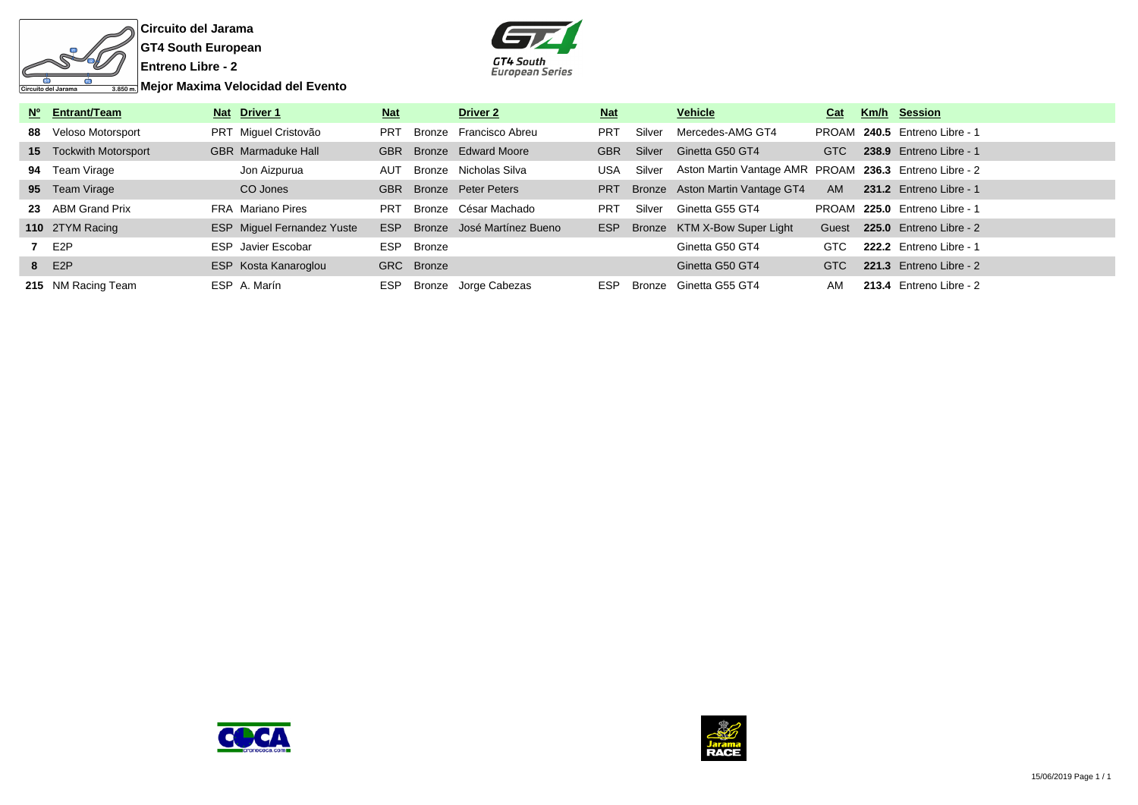

**Circuito del Jarama GT4 South European**



| Nº Entrant/Team               | Nat Driver 1                      | <b>Nat</b> |            | <b>Driver 2</b>                | <u>Nat</u> |        | <b>Vehicle</b>                                         | Cat        | <b>Km/h Session</b>           |
|-------------------------------|-----------------------------------|------------|------------|--------------------------------|------------|--------|--------------------------------------------------------|------------|-------------------------------|
| 88 Veloso Motorsport          | PRT Miguel Cristovão              | <b>PRT</b> |            | Bronze Francisco Abreu         | <b>PRT</b> | Silver | Mercedes-AMG GT4                                       |            | PROAM 240.5 Entreno Libre - 1 |
| <b>15</b> Tockwith Motorsport | <b>GBR</b> Marmaduke Hall         | <b>GBR</b> |            | Bronze Edward Moore            | <b>GBR</b> | Silver | Ginetta G50 GT4                                        | <b>GTC</b> | 238.9 Entreno Libre - 1       |
| 94 Team Virage                | Jon Aizpurua                      | AUT        |            | Bronze Nicholas Silva          | <b>USA</b> | Silver | Aston Martin Vantage AMR PROAM 236.3 Entreno Libre - 2 |            |                               |
| 95 Team Virage                | CO Jones                          |            |            | <b>GBR</b> Bronze Peter Peters | <b>PRT</b> |        | Bronze Aston Martin Vantage GT4                        | AM         | 231.2 Entreno Libre - 1       |
| 23 ABM Grand Prix             | FRA Mariano Pires                 | <b>PRT</b> |            | Bronze César Machado           | <b>PRT</b> | Silver | Ginetta G55 GT4                                        |            | PROAM 225.0 Entreno Libre - 1 |
| 110 2TYM Racing               | <b>ESP</b> Miguel Fernandez Yuste | <b>ESP</b> |            | Bronze José Martínez Bueno     | ESP        |        | Bronze KTM X-Bow Super Light                           | Guest      | 225.0 Entreno Libre - 2       |
| 7 E2P                         | <b>ESP</b> Javier Escobar         |            | ESP Bronze |                                |            |        | Ginetta G50 GT4                                        | GTC        | 222.2 Entreno Libre - 1       |
| 8 E2P                         | ESP Kosta Kanaroglou              |            | GRC Bronze |                                |            |        | Ginetta G50 GT4                                        | <b>GTC</b> | 221.3 Entreno Libre - 2       |
| 215 NM Racing Team            | ESP A. Marín                      | ESP        |            | Bronze Jorge Cabezas           | ESP        |        | Bronze Ginetta G55 GT4                                 | AM         | 213.4 Entreno Libre - 2       |